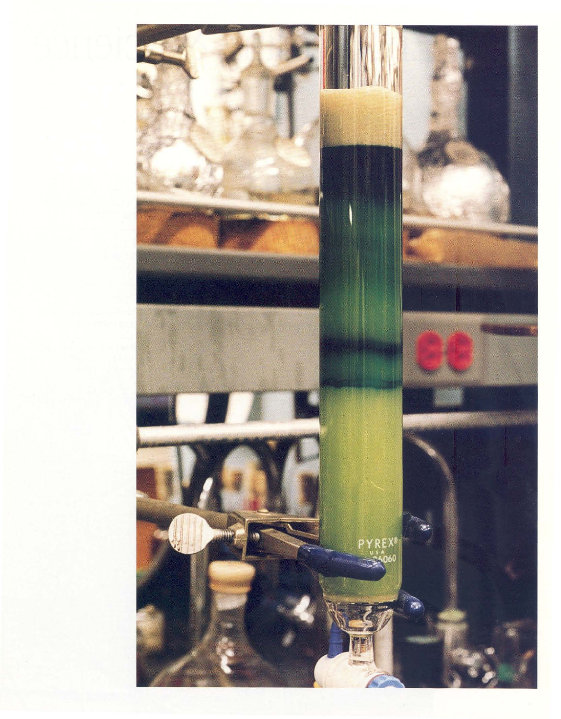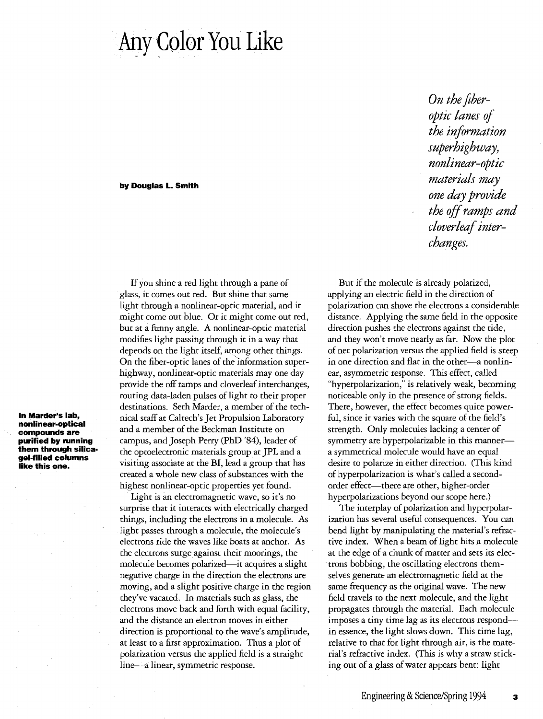## Any Color You Like

**by Douglas L. Smith** 

*On the fiberoptic lanes of the information superhighway, nonlinear-optic materials may one day provide the off ramps and cloverleaf interchanges.* 

If you shine a red light through a pane of glass, it comes out red. But shine that same light through a nonlinear-optic material, and it might come out blue. Or it might come out red, but at a funny angle. A nonlinear-optic material modifies light passing through it in a way that depends on the light itself, among other things. On the fiber-optic lanes of the'information superhighway, nonlinear-optic materials may one day provide the off ramps and cloverleaf interchanges, routing data-laden pulses of light to their proper destinations. Seth Marder, a member of the technical staff at Caltech's Jet Propulsion Laboratory and a member of the Beckman Institute on campus, and Joseph Perry (PhD '84), leader of the optoelectronic materials group at JPL and a visiting associate at the BI, lead a group that has created a whole new class of substances with the highest nonlinear-optic properties yet found.

**In Marder's lab, nonlinea .... optical compounds are purified by running them through silica· gel·filled columns like this one.** 

> Light is an electromagnetic wave, so it's no surprise that it interacts with electrically charged things, including the electrons in a molecule. As light passes through a molecule, the molecule's electrons ride the waves like boats at anchor. As the electrons surge against their moorings, the molecule becomes polarized-it acquires a slight negative charge in the direction the electrons are moving, and a slight positive charge in the region they've vacated. In materials such as glass, the electrons move back and forth with equal facility, and the distance an electron moves in either direction is proportional to the wave's amplitude, at least to a first approximation. Thus a plot of polarization versus the applied field is a straight line-a linear, symmetric response.

But if the molecule is already polarized, applying an electric field in the direction of polarization can shove the electrons a considerable distance. Applying the same field in the opposite direction pushes the electrons against the tide, and they won't move nearly as far. Now the plot of net polarization versus the applied field is steep in one direction and flat in the other-a nonlinear, asymmetric response. This effect, called "hyperpolarization," is relatively weak, becoming noticeable only in the presence of strong fields. There, however, the effect becomes quite powerful, since it varies with the square of the field's strength. Only molecules lacking a center of symmetry are hyperpolarizable in this mannera symmetrical molecule would have an equal desire to polarize in either direction. (This kind of hyperpolarization is what's called a secondorder effect-there are other, higher-order hyperpolarizations beyond our scope here.)

The interplay of polarization and hyperpolarization has several useful consequences. You can bend light by manipulating the material's refractive index. When a beam of light hits a molecule at the edge of a chunk of matter and sets its elec- . trons bobbing, the oscillating electrons themselves generate an electromagnetic field at the same frequency as the original wave. The new field travels to the next molecule, and the light propagates through the material. Each molecule imposes a tiny time lag as its electrons respondin essence, the light slows down. This time lag, relative to that for light through air, is the material's refractive index. (This is why a straw sticking out of a glass of water appears bent: light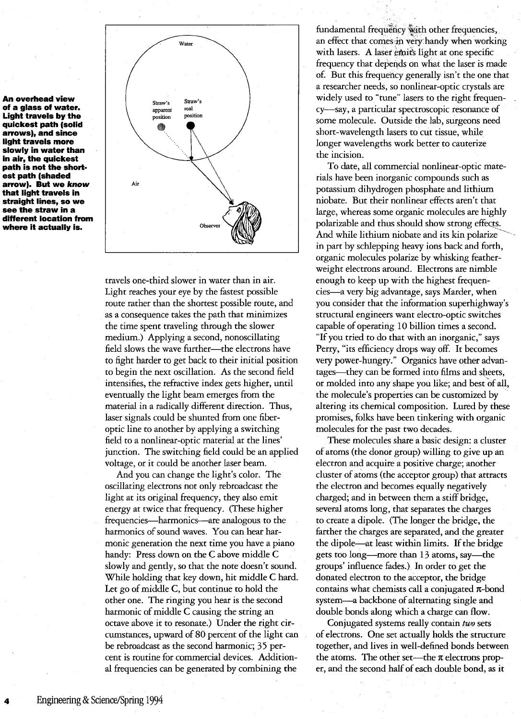**An overhead view of a glass of water. Light travels by the quickest path (solid arrows), and since light travels more slowly in water than in air, the quickest path is not the short· est path (shaded arrow). But we know that light travels in straight lines, so we see the straw in a different location from where it actually is.** 



travels one-third slower in water than in air. Light reaches your eye by the fastest possible route rather than the shortest possible route, and as a consequence takes the path that minimizes the time spent traveling through the slower medium.) Applying a second, nonoscillating field slows the wave further-the electrons have to fight harder to get back to their initial position to begin the next oscillation. As the second field intensifies, the refractive index gets higher, until eventually the light beam emerges from the material in a radically different direction. Thus, laser signals could be shunted from one fiberoptic line to another by applying a switching field to a nonlinear-optic material at the lines' junction. The switching field could be an applied voltage, or it could be another laser beam.

And you can change the light's color. The oscillating electrons not only rebroadcast the light at its original frequency, they also emit energy at twice that frequency. (These higher frequencies—harmonics—are analogous to the harmonics of sound waves. You can hear harmonic generation the next time you have a piano handy: Press down on the C above middle C slowly and gently, so that the note doesn't sound. While holding that key down, hit middle C hard. Let go of middle C, but continue to hold the other one. The ringing you hear is the second harmonic of middle C causing the string an octave above it to resonate.) Under the right circumstances, upward of 80 percent of the light can be rebroadcast as the second harmonic; 35 percent is routine for commercial devices. Additional frequencies can be generated by combining the

fundamental frequency with other frequencies, an effect that comes in very handy when working with lasers. A laser emits light at one specific frequency that depends on what the laser is made of. But this frequency generally isn't the one that a researcher needs, so nonlinear-optic crystals are widely used to "tune" lasers to the right frequency-say, a particular spectroscopic resonance of some molecule. Outside the lab, surgeons need short-wavelength lasers to cut tissue, while longer wavelengths work better to cauterize the incision.

To date, all commercial nonlinear-optic materials have been inorganic compounds such as potassium dihydrogen phosphate and lithium niobate. But their nonlinear effects aren't that large, whereas some organic molecules are highly polarizable and thus should show strong effects. And while lithium niobate and its kin polarize in part by schlepping heavy ions back and forth, organic molecules polarize by whisking featherweight electrons around. Electrons are nimble enough to keep up with the highest frequencies-a very big advantage, says Marder, when you consider that the information superhighway's structural engineers want electro-optic switches capable of operating 10 billion times a second. "If you tried to do that with an inorganic," says Perry, "its efficiency drops way off. It becomes very power-hungry." Organics have other advantages-they can be formed into films and sheets, or molded into any shape you like; and best of all, the molecule's properties can be customized by . altering its chemical composition. Lured by these promises, folks have been tinkering with organic molecules for the past two decades.

These molecules share a basic design: a cluster of atoms (the donor group) willing to give up an electron and acquire a positive charge; another cluster of atoms (the acceptor group) that attracts the electron and becomes equally negatively charged; and in between them a stiff bridge, several atoms long, that separates the charges to create a dipole. (The longer the bridge, the farther the charges are separated, and the greater the dipole-at least within limits. If the bridge gets too long—more than 13 atoms, say—the groups' influence fades.) In order to get the donated electron to the acceptor, the bridge contains what chemists call a conjugated  $\pi$ -bond system-a backbone of alternating single and double bonds along which a charge can flow.

Conjugated systems really contain *two* sets of electrons. One set actually holds the structure together, and lives in well-defined bonds between the atoms. The other set—the  $\pi$  electrons proper, and the second half of each double bond, as it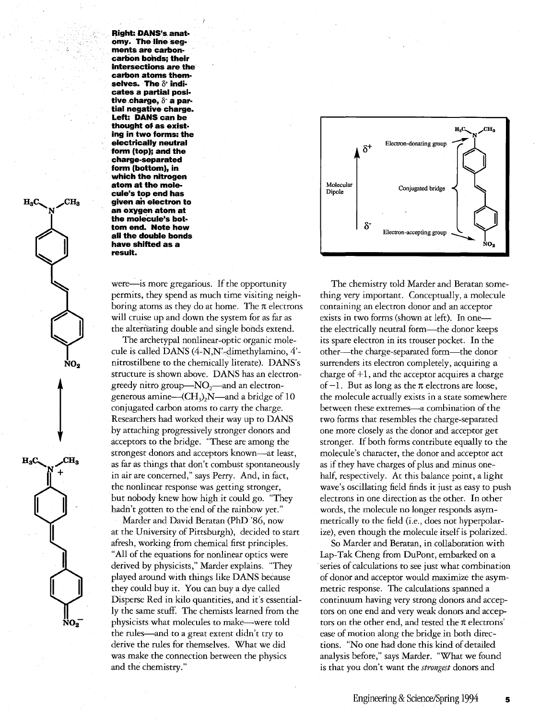**flight: DANS's. anat**omy. The line seg**ments are carboncarbon bonds; their intersections are the carbon atoms themselves. The 8+ indicates a partial positive .charge, 8- a partial negative charge. Left: DANS can be thought 0' as existing in two forms: the electrically neutral form (top); and the charge-separated form (bottom), in which the nitrogen atom at the molecule's top end has given an electron to an oxygen atom at the molecule's bottom end. Note how all the double bonds have shifted as a result.** 

CH<sub>3</sub>

 $NO<sub>2</sub>$ 

 $\overline{\text{CH}_3}$ 

NO.

 $H_3C_2$ 

 $H_3C$ 

were-is more gregarious. If the opportunity permits, they spend as much time visiting neighboring atoms as they do at home. The  $\pi$  electrons will cruise up and down the system for as far as the alternating double and single bonds extend.

The archetypal nonlinear-optic organic molecule is called DANS (4-N,N'~dimethylamino, 4' nitrostilbene to the chemically literate). DANS's structure is shown above. DANS has an electrongreedy nitro group- $NO_2$ -and an electrongenerous amine— $(CH_3)$ <sub>2</sub>N—and a bridge of 10 conjugated carbon atoms to carry the charge. Researchers had worked their way up to DANS by attaching progressively stronger donors and acceptors to the bridge. "These are among the strongest donors and acceptors known-at least, as far as things that don't combust spontaneously in air are concerned," says Perry. And, in fact, the nonlinear response was getting stronger, but nobody knew how high it could go. "They hadn't gotten to the end of the rainbow yet."

Marder and David Beratan (PhD '86, now at the University of Pittsburgh), decided to start afresh, working from chemical first principles. "All of the equations for nonlinear optics were derived by physicists," Marder explains. "They played around with things like DANS because they could buy it. You can buy a dye called Disperse Red in kilo quantities, and it's essentially the same stuff. The chemists learned from the physicists what molecules to make-were told the rules-and to a great extent didn't try to derive the rules for themselves. What we did was make the connection between the physics and the chemistry."



The chemistry told Marder and Beratan something very important. Conceptually, a molecule containing an electron donor and an acceptor exists in two forms (shown at left). In onethe electrically neutral form-the donor keeps its spare electron in its trouser pocket. **In** the other-the charge-separated form-the donor surrenders its electron completely, acquiring a charge of  $+1$ , and the acceptor acquires a charge of  $-1$ . But as long as the  $\pi$  electrons are loose, the molecule actually exists in a state somewhere between these extremes-a combination of the two forms that resembles the charge-separated one more closely as the donor and acceptor get stronger. If both forms contribute equally to the molecule's character, the donor and acceptor act as if they have charges of plus and minus onehalf, respectively. At this balance point, a light wave's oscillating field finds it just as easy to push electrons in one direction as the other. **In** other words, the molecule no longer responds asymmetrically to the field (i.e., does not hyperpolarize), even though the molecule itself is polarized.

So Marder and Beratan, in collaboration with Lap-Tak Cheng from DuPont, embarked on a . series of calculations to see just what combination of donor and acceptor would maximize the asymmetric response. The calculations spanned a continuum having very strong donors and acceptors on one end and very weak donors and acceptors on the other end, and tested the  $\pi$  electrons' ease of motion along the bridge in both directions. "No one had done this kind of detailed analysis before," says Marder. "What we found is that you don't want the *strongest* donors and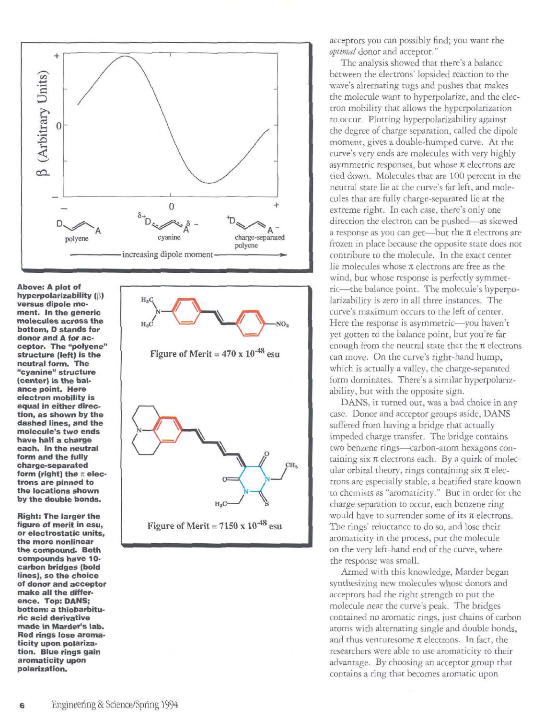

**Above: A plot of**  hyperpolarizability  $(\beta)$ **versus dipole moment. In the generic molecules across the bottom, D stands for donor and A for acceptor. The "polyene" structure (left) is the neutral form. The ucyanine" structure (center) is the bal. ance point. Here electron mobility is equal in either direction, as shown by the dashed lines, and the molecule's two ends have half a eharge each. In the neutral form and the fully charge-separated**  form (right) the  $\pi$  elec**trons are pinned to the locations shown by the double bonds.** 

**Right: The larger the figure of merit in esu, or electrostatic units, the more nonlinear the compound. Both compounds have 10 carbon bridges (bold lines), so the choice of donor and acceptor make all the difference. Top: DANS; bottom: a thiobarbituric acid derivative made in Marder's lab. Red rings lose aromaticity upon polarization. Blue rings gain aromaticity upon polarization.** 



acceptors you can possibly find; you want the *optimal* donor and acceptor."

The analysis showed that there's a balance between the electrons' lopsided reaction to the wave's alternating tugs and pushes that makes the molecule want to hyperpolarize, and the *elec*tron mobility that allows the hyperpolarization to occur. Plotting hyperpolarizability against the degree of charge separation, called the dipole moment, gives a double· humped curve. At the curve's very ends are molecules with very highly asymmetric responses, but whose  $\pi$  electrons are tied down. Molecules that are 100 percent in the neutral state lie at the curve's far left, and molecules that are fully charge-separated lie at the extreme right. In each case, there's only one direction the electron can be pushed-as skewed a response as you can get-but the  $\pi$  electrons are frozen in place because the opposite state does not contribute to the molecule. In the exact center lie molecules whose  $\pi$  electrons are free as the wind, but whose response is perfectly symmetric-the balance point. The molecule's hyperpolatizability is zero in all three instances. The curve's maximum occurs to the left of center. Here the response is asymmetric-you haven't yet gotten to the balance point, but you're far enough from the neutral state that the  $\pi$  electrons can move. On the curve's right-hand hump, which is actually a valley, the charge-separated form dominates. There's a similar hyperpolarizability, but with the opposite sign.

DANS, it turned out, was a bad choice in any case. Donor and acceptor groups aside, DANS suffered from having a bridge that actually impeded charge transfer. The bridge contains two benzene rings-carbon-atom hexagons containing six  $\pi$  electrons each. By a quirk of molecular orbital theory, rings containing six  $\pi$  electrons are especially stable, a beatified state known to chemists as "aromaticiry." But in order for the charge separation to occur, each benzene ring would have to surrender some of its  $\pi$  electrons. The rings' reluctance to do so, and lose their aromaticity in the process, put the molecule on the very left-hand end of rhe curve, where the response was smaIL

Armed with this knowledge, Marder began synthesizing new molecules whose donors and acceptors had the right strength to put the molecule near the curve's peak. The bridges contained no aromatic rings, just chains of carbon atoms with alternating single and double bonds, and thus venturesome  $\pi$  electrons. In fact, the researchers were able to use aromaticity co their advantage. By choosing an acceptor group that contains a ring that becomes aromatic upon